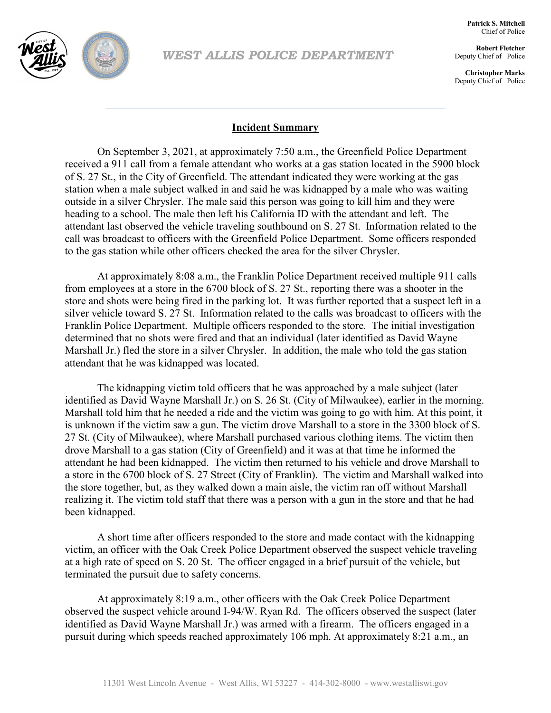

*WEST ALLIS POLICE DEPARTMENT*

**Patrick S. Mitchell** Chief of Police

**Robert Fletcher** Deputy Chief of Police

**Christopher Marks** Deputy Chief of Police

## **Incident Summary**

On September 3, 2021, at approximately 7:50 a.m., the Greenfield Police Department received a 911 call from a female attendant who works at a gas station located in the 5900 block of S. 27 St., in the City of Greenfield. The attendant indicated they were working at the gas station when a male subject walked in and said he was kidnapped by a male who was waiting outside in a silver Chrysler. The male said this person was going to kill him and they were heading to a school. The male then left his California ID with the attendant and left. The attendant last observed the vehicle traveling southbound on S. 27 St. Information related to the call was broadcast to officers with the Greenfield Police Department. Some officers responded to the gas station while other officers checked the area for the silver Chrysler.

At approximately 8:08 a.m., the Franklin Police Department received multiple 911 calls from employees at a store in the 6700 block of S. 27 St., reporting there was a shooter in the store and shots were being fired in the parking lot. It was further reported that a suspect left in a silver vehicle toward S. 27 St. Information related to the calls was broadcast to officers with the Franklin Police Department. Multiple officers responded to the store. The initial investigation determined that no shots were fired and that an individual (later identified as David Wayne Marshall Jr.) fled the store in a silver Chrysler. In addition, the male who told the gas station attendant that he was kidnapped was located.

The kidnapping victim told officers that he was approached by a male subject (later identified as David Wayne Marshall Jr.) on S. 26 St. (City of Milwaukee), earlier in the morning. Marshall told him that he needed a ride and the victim was going to go with him. At this point, it is unknown if the victim saw a gun. The victim drove Marshall to a store in the 3300 block of S. 27 St. (City of Milwaukee), where Marshall purchased various clothing items. The victim then drove Marshall to a gas station (City of Greenfield) and it was at that time he informed the attendant he had been kidnapped. The victim then returned to his vehicle and drove Marshall to a store in the 6700 block of S. 27 Street (City of Franklin). The victim and Marshall walked into the store together, but, as they walked down a main aisle, the victim ran off without Marshall realizing it. The victim told staff that there was a person with a gun in the store and that he had been kidnapped.

A short time after officers responded to the store and made contact with the kidnapping victim, an officer with the Oak Creek Police Department observed the suspect vehicle traveling at a high rate of speed on S. 20 St. The officer engaged in a brief pursuit of the vehicle, but terminated the pursuit due to safety concerns.

At approximately 8:19 a.m., other officers with the Oak Creek Police Department observed the suspect vehicle around I-94/W. Ryan Rd. The officers observed the suspect (later identified as David Wayne Marshall Jr.) was armed with a firearm. The officers engaged in a pursuit during which speeds reached approximately 106 mph. At approximately 8:21 a.m., an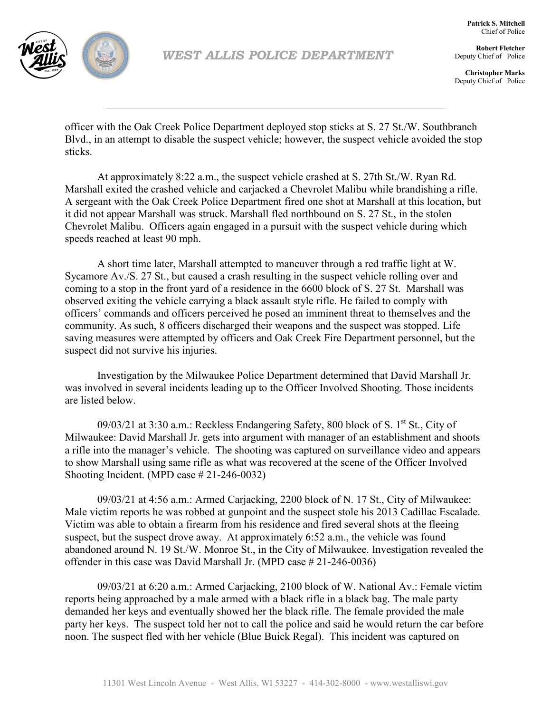

**Patrick S. Mitchell** Chief of Police

**Robert Fletcher** Deputy Chief of Police

**Christopher Marks** Deputy Chief of Police

officer with the Oak Creek Police Department deployed stop sticks at S. 27 St./W. Southbranch Blvd., in an attempt to disable the suspect vehicle; however, the suspect vehicle avoided the stop sticks.

At approximately 8:22 a.m., the suspect vehicle crashed at S. 27th St./W. Ryan Rd. Marshall exited the crashed vehicle and carjacked a Chevrolet Malibu while brandishing a rifle. A sergeant with the Oak Creek Police Department fired one shot at Marshall at this location, but it did not appear Marshall was struck. Marshall fled northbound on S. 27 St., in the stolen Chevrolet Malibu. Officers again engaged in a pursuit with the suspect vehicle during which speeds reached at least 90 mph.

A short time later, Marshall attempted to maneuver through a red traffic light at W. Sycamore Av./S. 27 St., but caused a crash resulting in the suspect vehicle rolling over and coming to a stop in the front yard of a residence in the 6600 block of S. 27 St. Marshall was observed exiting the vehicle carrying a black assault style rifle. He failed to comply with officers' commands and officers perceived he posed an imminent threat to themselves and the community. As such, 8 officers discharged their weapons and the suspect was stopped. Life saving measures were attempted by officers and Oak Creek Fire Department personnel, but the suspect did not survive his injuries.

Investigation by the Milwaukee Police Department determined that David Marshall Jr. was involved in several incidents leading up to the Officer Involved Shooting. Those incidents are listed below.

09/03/21 at 3:30 a.m.: Reckless Endangering Safety, 800 block of S.  $1<sup>st</sup>$  St., City of Milwaukee: David Marshall Jr. gets into argument with manager of an establishment and shoots a rifle into the manager's vehicle. The shooting was captured on surveillance video and appears to show Marshall using same rifle as what was recovered at the scene of the Officer Involved Shooting Incident. (MPD case # 21-246-0032)

09/03/21 at 4:56 a.m.: Armed Carjacking, 2200 block of N. 17 St., City of Milwaukee: Male victim reports he was robbed at gunpoint and the suspect stole his 2013 Cadillac Escalade. Victim was able to obtain a firearm from his residence and fired several shots at the fleeing suspect, but the suspect drove away. At approximately 6:52 a.m., the vehicle was found abandoned around N. 19 St./W. Monroe St., in the City of Milwaukee. Investigation revealed the offender in this case was David Marshall Jr. (MPD case # 21-246-0036)

09/03/21 at 6:20 a.m.: Armed Carjacking, 2100 block of W. National Av.: Female victim reports being approached by a male armed with a black rifle in a black bag. The male party demanded her keys and eventually showed her the black rifle. The female provided the male party her keys. The suspect told her not to call the police and said he would return the car before noon. The suspect fled with her vehicle (Blue Buick Regal). This incident was captured on